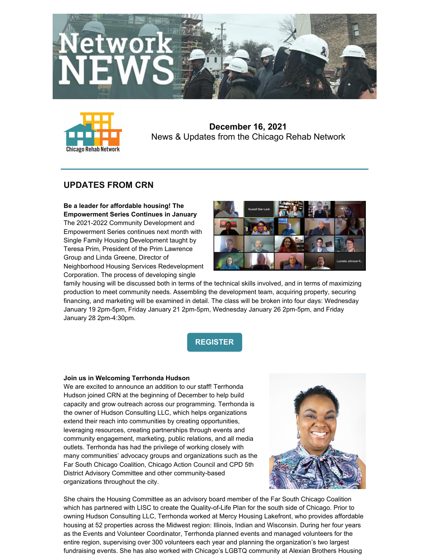



**December 16, 2021** News & Updates from the Chicago Rehab Network

# **UPDATES FROM CRN**

**Be a leader for affordable housing! The Empowerment Series Continues in January** The 2021-2022 Community Development and Empowerment Series continues next month with Single Family Housing Development taught by Teresa Prim, President of the Prim Lawrence Group and Linda Greene, Director of Neighborhood Housing Services Redevelopment Corporation. The process of developing single



family housing will be discussed both in terms of the technical skills involved, and in terms of maximizing production to meet community needs. Assembling the development team, acquiring property, securing financing, and marketing will be examined in detail. The class will be broken into four days: Wednesday January 19 2pm-5pm, Friday January 21 2pm-5pm, Wednesday January 26 2pm-5pm, and Friday January 28 2pm-4:30pm.

**[REGISTER](https://www.chicagorehab.org/training/community-empowerment-workshop-series-2020)**

## **Join us in Welcoming Terrhonda Hudson**

We are excited to announce an addition to our staff! Terrhonda Hudson joined CRN at the beginning of December to help build capacity and grow outreach across our programming. Terrhonda is the owner of Hudson Consulting LLC, which helps organizations extend their reach into communities by creating opportunities, leveraging resources, creating partnerships through events and community engagement, marketing, public relations, and all media outlets. Terrhonda has had the privilege of working closely with many communities' advocacy groups and organizations such as the Far South Chicago Coalition, Chicago Action Council and CPD 5th District Advisory Committee and other community-based organizations throughout the city.



She chairs the Housing Committee as an advisory board member of the Far South Chicago Coalition which has partnered with LISC to create the Quality-of-Life Plan for the south side of Chicago. Prior to owning Hudson Consulting LLC, Terrhonda worked at Mercy Housing Lakefront, who provides affordable housing at 52 properties across the Midwest region: Illinois, Indian and Wisconsin. During her four years as the Events and Volunteer Coordinator, Terrhonda planned events and managed volunteers for the entire region, supervising over 300 volunteers each year and planning the organization's two largest fundraising events. She has also worked with Chicago's LGBTQ community at Alexian Brothers Housing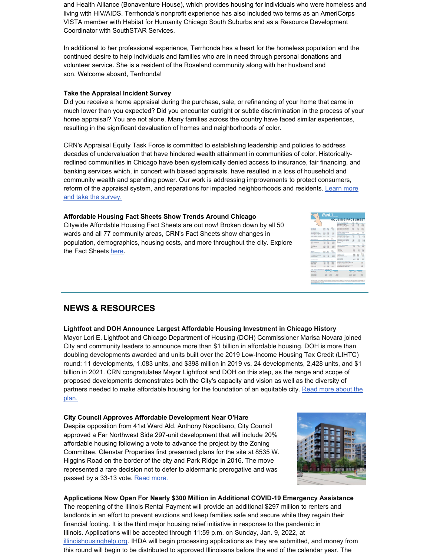and Health Alliance (Bonaventure House), which provides housing for individuals who were homeless and living with HIV/AIDS. Terrhonda's nonprofit experience has also included two terms as an AmeriCorps VISTA member with Habitat for Humanity Chicago South Suburbs and as a Resource Development Coordinator with SouthSTAR Services.

In additional to her professional experience, Terrhonda has a heart for the homeless population and the continued desire to help individuals and families who are in need through personal donations and volunteer service. She is a resident of the Roseland community along with her husband and son. Welcome aboard, Terrhonda!

### **Take the Appraisal Incident Survey**

Did you receive a home appraisal during the purchase, sale, or refinancing of your home that came in much lower than you expected? Did you encounter outright or subtle discrimination in the process of your home appraisal? You are not alone. Many families across the country have faced similar experiences, resulting in the significant devaluation of homes and neighborhoods of color.

CRN's Appraisal Equity Task Force is committed to establishing leadership and policies to address decades of undervaluation that have hindered wealth attainment in communities of color. Historicallyredlined communities in Chicago have been systemically denied access to insurance, fair financing, and banking services which, in concert with biased appraisals, have resulted in a loss of household and community wealth and spending power. Our work is addressing improvements to protect consumers, reform of the appraisal system, and reparations for impacted [neighborhoods](https://www.chicagorehab.org/advocacy/appraisal-equity-campaign) and residents. Learn more and take the survey.

## **Affordable Housing Fact Sheets Show Trends Around Chicago**

Citywide Affordable Housing Fact Sheets are out now! Broken down by all 50 wards and all 77 community areas, CRN's Fact Sheets show changes in population, demographics, housing costs, and more throughout the city. Explore the Fact Sheets [here](https://www.chicagorehab.org/research/affordable-housing-factbook).

|                                              |                                 |                  | <b>BEINGLAND BOUNDARY</b>     |                                                                                  |                               |                          |                                |
|----------------------------------------------|---------------------------------|------------------|-------------------------------|----------------------------------------------------------------------------------|-------------------------------|--------------------------|--------------------------------|
|                                              |                                 |                  |                               | <b>HOUSING FACT SHEET</b>                                                        |                               |                          |                                |
|                                              |                                 |                  |                               |                                                                                  |                               |                          | R con-                         |
|                                              |                                 |                  |                               | <b>BACALHOUSING COCTO</b>                                                        | 2050                          | 35.8                     | <b>DOM</b>                     |
|                                              |                                 |                  |                               | Motor Advertisions form                                                          | 9.12                          | \$15.9                   |                                |
|                                              |                                 |                  |                               | <b>NOTE AVECAS PV STRING</b><br><b>Removing the END to Editional</b>             | <b>List</b><br><b>LYD</b>     | <b>LEV</b><br><b>UK</b>  | ALC: YES<br>43.09              |
| <b>POPULATION</b>                            | xa                              | 2008             | Room                          | <b>NORTHWIN BIRTH GLASSING</b>                                                   | <b>COR</b>                    | 187                      | <b>LEASY</b>                   |
| <b>Sept Propulsition</b>                     | <b>MYS</b>                      | 14, 148          | <b>SAV</b><br><b>Since</b>    | <b>Retail Paris &amp; Kitle Minutes</b>                                          | <b>JOH</b>                    | 150                      | Output                         |
| Total provide date                           | <b>DOM</b>                      | <b>DOM</b>       | <b>STATE</b>                  | Particular 10% of hours in Arts                                                  | suits.                        | <b>Hubert</b>            | ALC VIT                        |
| Stati family tracements                      | 3000                            | <b>SGM</b>       | $-$ CDK                       |                                                                                  |                               |                          |                                |
| <b>Turn that Auto Amendment</b>              | <b>TABLE</b>                    | <b>TARD</b>      | cars.                         | <b>MARINE CORRUPA CARLES</b><br><b>WTH A MONTINGS</b>                            |                               |                          |                                |
| beauty of the control channels               | <b>IS FOL</b>                   | 18.699           | <b>AVAN</b>                   |                                                                                  | X11                           | <b>ICO</b><br><b>Ker</b> |                                |
| have a level part if you'ge dured            | <b>SA King</b>                  | To lots          | <b>Excellent</b>              | Weiter Parkly Davis Car<br>Denve Keing Los True \$1,000 mil                      | 63, 813<br>$\sim$             | ٠                        |                                |
|                                              |                                 |                  |                               | Daniel Raina \$3.00 to (E.480mm)                                                 | ×                             | $\sim$                   |                                |
|                                              |                                 |                  | R <sub>man</sub>              | Darwin Raina \$3,000 to \$5,000 min                                              | 122                           | Link                     |                                |
| <b>AACC-COMMUNI</b>                          | 30m                             | 2014             | new                           | Daney Rains Child or Months                                                      | Len                           | <b>LEA</b>               |                                |
| $\overline{\phantom{a}}$                     | <b>Auto</b>                     | $\overline{1}$   | <b>RAD</b>                    | Asing Day XX of Income he                                                        | stand                         | <b>Science</b>           |                                |
| <b>Falus Main Anglish</b>                    | 18.5                            | <b>Links</b>     | <b>CON</b>                    | <b><i><u>Nicklass</u></i></b>                                                    |                               |                          |                                |
| Air                                          | <b>MA</b>                       | 3,84             | 9209                          |                                                                                  |                               |                          |                                |
| <b>H.A. Gold</b>                             | 249                             | 3.24             | <b>KKIN</b>                   | LAPS In successive                                                               | <b>HH</b>                     | m                        |                                |
| Letter of the New                            | <b>ACCH</b>                     | <b>CA MAD</b>    | <b><i>RAD</i></b>             | legal beauty of                                                                  | <b>AND</b>                    | 4.647                    |                                |
| Colorado                                     | <b>MARK</b>                     | 3,413            | <b>The County</b>             | Jankee                                                                           | <b>BANK</b>                   | 14.19                    |                                |
|                                              |                                 |                  |                               | <b>Louisian</b>                                                                  | <b>DOM:</b>                   | 6.6.1                    |                                |
| NOME                                         | 20.0                            | 2008             | $\mathbb{R}$<br><b>Length</b> | <b>STA SF/HS</b>                                                                 | $\sim$                        | <b>Lex</b>               |                                |
| Wido Paulina korea                           | <b>All of Card</b>              | 84.64            | 11.9%                         | <b>She May Link</b>                                                              | <b>SET</b>                    | 113                      |                                |
| <b>Financial Series (EAM)</b>                | KACH                            | 124              | <b>MAN</b>                    | <b>KOUSTING UNITS</b>                                                            | m                             | 22.1                     | Report                         |
| A reference of \$1.50 million                | <b>STORY</b>                    | <b>STAR</b>      | <b>ATAN</b>                   | <b>Loui Kinaina Link</b>                                                         | $\overline{a}$                | <b>XA</b>                | <b>COLLEGE</b>                 |
| <b>Parallanesi Ae</b> r                      | <b>SATIN</b>                    | <b>LOW</b>       | an was                        | Total Document Hospital Artist                                                   | <b>STAR</b>                   | <b>DOM:</b>              |                                |
|                                              |                                 |                  |                               | Daner Coupled                                                                    | <b>KTM</b>                    | <b>BAC</b>               |                                |
|                                              |                                 |                  |                               | <b>Kenter Chrispher</b>                                                          | <b>SOM</b>                    | <b>Lane</b>              |                                |
| <b>Information for</b><br><b>INCOME UNIX</b> | <b>MY AT</b>                    |                  | <b>Burnet</b><br>Council of   | ADVANCES AND ANOTHER PROVIDED                                                    |                               |                          |                                |
|                                              |                                 | 2008             | $rac{1}{2}$                   |                                                                                  |                               |                          |                                |
| an The African<br><b>ENTRANCES</b>           | NX <sup>1</sup><br><b>Sales</b> | UK<br><b>ITS</b> | as ex-                        | for China's Payano and for Just to July<br>As a furnacional of all chances after |                               |                          | $\overline{a}$<br><b>FERRY</b> |
| PASSAGE                                      | m                               | <b>LES</b>       | <b>MAY</b>                    | Not sharper in required at its from Atlanta Jelast                               |                               |                          | <b>STO</b>                     |
| <b>EXAMINATION</b>                           | <b>A</b>                        | <b>LA MA</b>     | ag on.                        | As a ferramage of all moving or in-                                              |                               |                          | <b>CALL</b>                    |
|                                              |                                 |                  |                               |                                                                                  |                               |                          |                                |
| COT IN BROWN HOUSE ON DE BY THE DWY VENTI    |                                 |                  |                               |                                                                                  |                               |                          |                                |
| <b>NONE PAS</b>                              |                                 | $\overline{ }$   | m                             | <b>Executive</b>                                                                 | $\overline{a}$<br>÷           | <b>Louisville</b>        |                                |
| <b>Los Ave Editor</b>                        |                                 | A-1/L            | \$1,416                       | 1 Site                                                                           | ALC YOU<br>ALC N              |                          | <b>CALL</b>                    |
| <b>SEUCE GAVIN</b>                           |                                 | a and            | <b>SERVICE</b>                | <b>KAN</b>                                                                       | <b>With</b><br><b>WORK</b>    |                          | ors.                           |
| HELDS-ENOON                                  |                                 | <b>KON</b>       | 24, 24%                       | 18.309                                                                           | E-OK<br><b>CAST</b>           |                          | -2.0%                          |
| <b><i>STUDIES</i></b> & May                  |                                 | <b>STAN</b>      | 4.479                         | <b>EAST</b>                                                                      | <b>Killed</b><br><b>NAMES</b> |                          | ACTION                         |

# **NEWS & RESOURCES**

## **Lightfoot and DOH Announce Largest Affordable Housing Investment in Chicago History**

Mayor Lori E. Lightfoot and Chicago Department of Housing (DOH) Commissioner Marisa Novara joined City and community leaders to announce more than \$1 billion in affordable housing. DOH is more than doubling developments awarded and units built over the 2019 Low-Income Housing Tax Credit (LIHTC) round: 11 developments, 1,083 units, and \$398 million in 2019 vs. 24 developments, 2,428 units, and \$1 billion in 2021. CRN congratulates Mayor Lightfoot and DOH on this step, as the range and scope of proposed developments demonstrates both the City's capacity and vision as well as the diversity of partners needed to make affordable housing for the [foundation](https://www.chicago.gov/city/en/depts/mayor/press_room/press_releases/2021/december/LargestAffordableHousingInvestment.html) of an equitable city. Read more about the plan.

## **City Council Approves Affordable Development Near O'Hare**

Despite opposition from 41st Ward Ald. Anthony Napolitano, City Council approved a Far Northwest Side 297-unit development that will include 20% affordable housing following a vote to advance the project by the Zoning Committee. Glenstar Properties first presented plans for the site at 8535 W. Higgins Road on the border of the city and Park Ridge in 2016. The move represented a rare decision not to defer to aldermanic prerogative and was passed by a 33-13 vote. Read [more.](https://blockclubchicago.org/2021/12/15/city-council-ignores-nw-side-alderman-approves-apartments-near-ohare-airport-he-didnt-want/)



**Applications Now Open For Nearly \$300 Million in Additional COVID-19 Emergency Assistance** The reopening of the Illinois Rental Payment will provide an additional \$297 million to renters and landlords in an effort to prevent evictions and keep families safe and secure while they regain their financial footing. It is the third major housing relief initiative in response to the pandemic in Illinois. Applications will be accepted through 11:59 p.m. on Sunday, Jan. 9, 2022, at [illinoishousinghelp.org](https://illinoishousinghelp.org/). IHDA will begin processing applications as they are submitted, and money from this round will begin to be distributed to approved Illinoisans before the end of the calendar year. The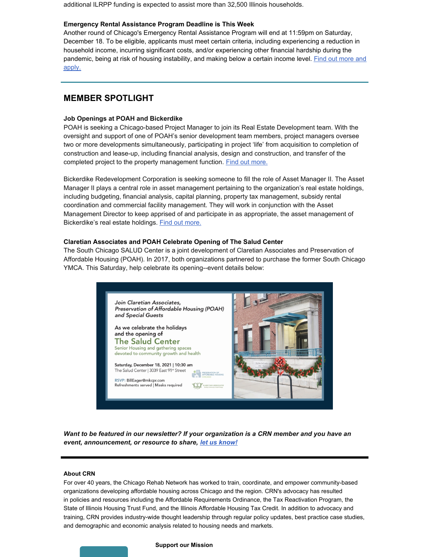additional ILRPP funding is expected to assist more than 32,500 Illinois households.

#### **Emergency Rental Assistance Program Deadline is This Week**

Another round of Chicago's Emergency Rental Assistance Program will end at 11:59pm on Saturday, December 18. To be eligible, applicants must meet certain criteria, including experiencing a reduction in household income, incurring significant costs, and/or experiencing other financial hardship during the [pandemic,](https://www.chicago.gov/city/en/depts/doh/provdrs/renters/svcs/emergency-rental-assistance-program.html) being at risk of housing instability, and making below a certain income level. Find out more and apply.

## **MEMBER SPOTLIGHT**

### **Job Openings at POAH and Bickerdike**

POAH is seeking a Chicago-based Project Manager to join its Real Estate Development team. With the oversight and support of one of POAH's senior development team members, project managers oversee two or more developments simultaneously, participating in project 'life' from acquisition to completion of construction and lease-up, including financial analysis, design and construction, and transfer of the completed project to the property management function. Find out [more.](https://files.constantcontact.com/0be26ff6001/b09a699c-c432-4a1b-be61-7aa3215f7d6f.pdf?rdr=true)

Bickerdike Redevelopment Corporation is seeking someone to fill the role of Asset Manager II. The Asset Manager II plays a central role in asset management pertaining to the organization's real estate holdings, including budgeting, financial analysis, capital planning, property tax management, subsidy rental coordination and commercial facility management. They will work in conjunction with the Asset Management Director to keep apprised of and participate in as appropriate, the asset management of Bickerdike's real estate holdings. Find out [more.](https://files.constantcontact.com/0be26ff6001/c9dbce64-1f72-415c-b23b-783db14b8d53.pdf?rdr=true)

#### **Claretian Associates and POAH Celebrate Opening of The Salud Center**

The South Chicago SALUD Center is a joint development of Claretian Associates and Preservation of Affordable Housing (POAH). In 2017, both organizations partnered to purchase the former South Chicago YMCA. This Saturday, help celebrate its opening--event details below:



*Want to be featured in our newsletter? If your organization is a CRN member and you have an event, announcement, or resource to share, let us [know!](mailto:jennifer@chicagorehab.org)*

#### **About CRN**

For over 40 years, the Chicago Rehab Network has worked to train, coordinate, and empower community-based organizations developing affordable housing across Chicago and the region. CRN's advocacy has resulted in policies and resources including the Affordable Requirements Ordinance, the Tax Reactivation Program, the State of Illinois Housing Trust Fund, and the Illinois Affordable Housing Tax Credit. In addition to advocacy and training, CRN provides industry-wide thought leadership through regular policy updates, best practice case studies, and demographic and economic analysis related to housing needs and markets.

#### **Support our Mission**